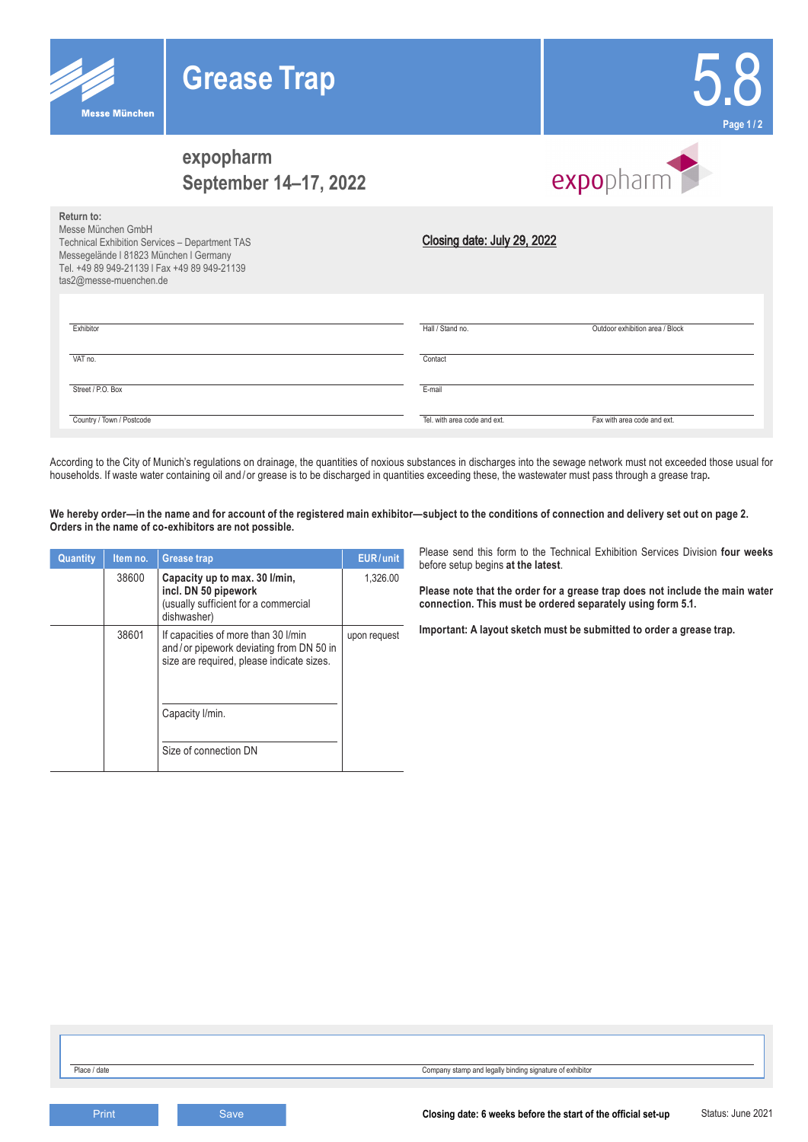



## **expopharm September 14–17, 2022**



| Return to:<br>Messe München GmbH<br>Technical Exhibition Services - Department TAS<br>Messegelände I 81823 München I Germany<br>Tel. +49 89 949-21139   Fax +49 89 949-21139<br>tas2@messe-muenchen.de | Closing date: July 29, 2022  |                                 |
|--------------------------------------------------------------------------------------------------------------------------------------------------------------------------------------------------------|------------------------------|---------------------------------|
| Exhibitor                                                                                                                                                                                              | Hall / Stand no.             | Outdoor exhibition area / Block |
| VAT no.                                                                                                                                                                                                | Contact                      |                                 |
| Street / P.O. Box                                                                                                                                                                                      | E-mail                       |                                 |
| Country / Town / Postcode                                                                                                                                                                              | Tel, with area code and ext. | Fax with area code and ext.     |

According to the City of Munich's regulations on drainage, the quantities of noxious substances in discharges into the sewage network must not exceeded those usual for households. If waste water containing oil and / or grease is to be discharged in quantities exceeding these, the wastewater must pass through a grease trap**.**

**We hereby order—in the name and for account of the registered main exhibitor—subject to the conditions of connection and delivery set out on page 2. Orders in the name of co-exhibitors are not possible.**

| Quantity | Item no. | <b>Grease trap</b>                                                                                                          | EUR/unit     |
|----------|----------|-----------------------------------------------------------------------------------------------------------------------------|--------------|
|          | 38600    | Capacity up to max. 30 l/min,<br>incl. DN 50 pipework<br>(usually sufficient for a commercial<br>dishwasher)                | 1,326.00     |
|          | 38601    | If capacities of more than 30 I/min<br>and/or pipework deviating from DN 50 in<br>size are required, please indicate sizes. | upon request |
|          |          | Capacity I/min.<br>Size of connection DN                                                                                    |              |

Please send this form to the Technical Exhibition Services Division **four weeks** before setup begins **at the latest**.

**Please note that the order for a grease trap does not include the main water connection. This must be ordered separately using form 5.1.**

**Important: A layout sketch must be submitted to order a grease trap.**